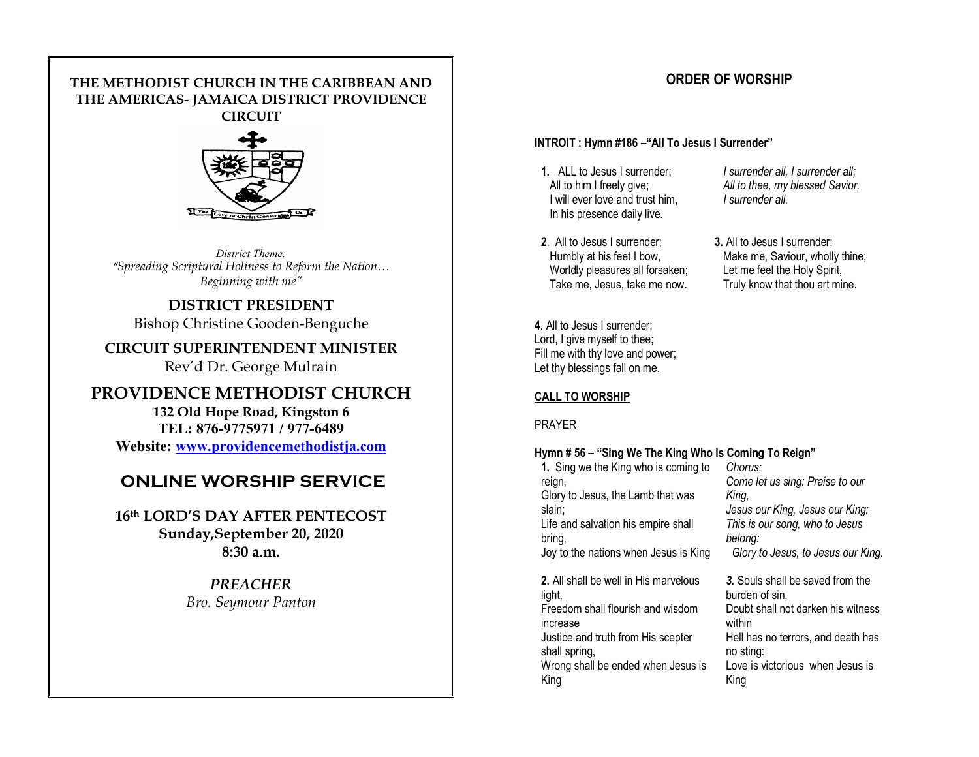## **THE METHODIST CHURCH IN THE CARIBBEAN AND THE AMERICAS- JAMAICA DISTRICT PROVIDENCE CIRCUIT**



*District Theme: "Spreading Scriptural Holiness to Reform the Nation… Beginning with me"*

## **DISTRICT PRESIDENT** Bishop Christine Gooden-Benguche

**CIRCUIT SUPERINTENDENT MINISTER** Rev'd Dr. George Mulrain

# **PROVIDENCE METHODIST CHURCH**

**132 Old Hope Road, Kingston 6 TEL: 876-9775971 / 977-6489 Website: www.providencemethodistja.com**

# **ONLINE WORSHIP SERVICE**

**16th LORD'S DAY AFTER PENTECOST Sunday,September 20, 2020 8:30 a.m.** 

> *PREACHER Bro. Seymour Panton*

# **ORDER OF WORSHIP**

#### **INTROIT : Hymn #186 –"All To Jesus I Surrender"**

**1.** ALL to Jesus I surrender; All to him I freely give; I will ever love and trust him, In his presence daily live.

**2**. All to Jesus I surrender; Humbly at his feet I bow, Worldly pleasures all forsaken; Take me, Jesus, take me now.

**4**. All to Jesus I surrender; Lord, I give myself to thee: Fill me with thy love and power; Let thy blessings fall on me.

## **CALL TO WORSHIP**

#### PRAYER

## **Hymn # 56 – "Sing We The King Who Is Coming To Reign"**

| 1. Sing we the King who is coming to  | Chorus:                            |
|---------------------------------------|------------------------------------|
| reign,                                | Come let us sing: Praise to our    |
| Glory to Jesus, the Lamb that was     | King.                              |
| slain:                                | Jesus our King, Jesus our King:    |
| Life and salvation his empire shall   | This is our song, who to Jesus     |
| bring.                                | belong:                            |
| Joy to the nations when Jesus is King | Glory to Jesus, to Jesus our King. |
| 2. All shall be well in His marvelous | 3. Souls shall be saved from the   |
| light,                                | burden of sin,                     |
| Freedom shall flourish and wisdom     | Doubt shall not darken his witness |
| increase                              | within                             |
| Justice and truth from His scepter    | Hell has no terrors, and death has |
| shall spring,                         | no sting:                          |
| Wrong shall be ended when Jesus is    | Love is victorious when Jesus is   |
| King                                  | King                               |

 *I surrender all, I surrender all; All to thee, my blessed Savior, I surrender all.*

**3.** All to Jesus I surrender; Make me, Saviour, wholly thine; Let me feel the Holy Spirit, Truly know that thou art mine.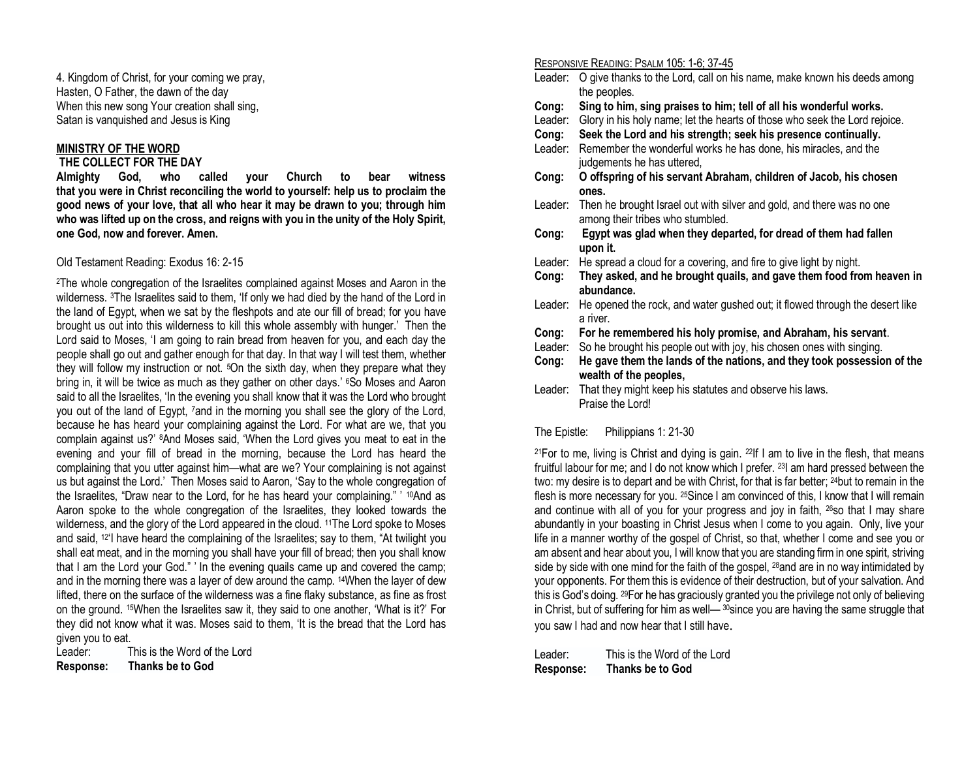4. Kingdom of Christ, for your coming we pray, Hasten, O Father, the dawn of the day When this new song Your creation shall sing, Satan is vanquished and Jesus is King

#### **MINISTRY OF THE WORD**

#### **THE COLLECT FOR THE DAY**

**Almighty God, who called your Church to bear witness that you were in Christ reconciling the world to yourself: help us to proclaim the good news of your love, that all who hear it may be drawn to you; through him who was lifted up on the cross, and reigns with you in the unity of the Holy Spirit, one God, now and forever. Amen.**

Old Testament Reading: Exodus 16: 2-15

2The whole congregation of the Israelites complained against Moses and Aaron in the wilderness. <sup>3</sup>The Israelites said to them, 'If only we had died by the hand of the Lord in the land of Egypt, when we sat by the fleshpots and ate our fill of bread; for you have brought us out into this wilderness to kill this whole assembly with hunger.' Then the Lord said to Moses, 'I am going to rain bread from heaven for you, and each day the people shall go out and gather enough for that day. In that way I will test them, whether they will follow my instruction or not. 5On the sixth day, when they prepare what they bring in, it will be twice as much as they gather on other days.' <sup>6</sup>So Moses and Aaron said to all the Israelites, 'In the evening you shall know that it was the Lord who brought you out of the land of Egypt, 7and in the morning you shall see the glory of the Lord, because he has heard your complaining against the Lord. For what are we, that you complain against us?' 8And Moses said, 'When the Lord gives you meat to eat in the evening and your fill of bread in the morning, because the Lord has heard the complaining that you utter against him—what are we? Your complaining is not against us but against the Lord.' Then Moses said to Aaron, 'Say to the whole congregation of the Israelites, "Draw near to the Lord, for he has heard your complaining." ' 10And as Aaron spoke to the whole congregation of the Israelites, they looked towards the wilderness, and the glory of the Lord appeared in the cloud. 11The Lord spoke to Moses and said, 12'I have heard the complaining of the Israelites; say to them, "At twilight you shall eat meat, and in the morning you shall have your fill of bread; then you shall know that I am the Lord your God." ' In the evening quails came up and covered the camp; and in the morning there was a layer of dew around the camp. 14When the layer of dew lifted, there on the surface of the wilderness was a fine flaky substance, as fine as frost on the ground. 15When the Israelites saw it, they said to one another, 'What is it?' For they did not know what it was. Moses said to them, 'It is the bread that the Lord has given you to eat.

Leader: This is the Word of the Lord **Response: Thanks be to God**

RESPONSIVE READING: PSALM 105: 1-6; 37-45

- Leader: O give thanks to the Lord, call on his name, make known his deeds among the peoples.
- **Cong: Sing to him, sing praises to him; tell of all his wonderful works.**
- Leader: Glory in his holy name; let the hearts of those who seek the Lord rejoice.
- **Cong: Seek the Lord and his strength; seek his presence continually.**
- Leader: Remember the wonderful works he has done, his miracles, and the judgements he has uttered.
- **Cong: O offspring of his servant Abraham, children of Jacob, his chosen ones.**
- Leader: Then he brought Israel out with silver and gold, and there was no one among their tribes who stumbled.
- **Cong: Egypt was glad when they departed, for dread of them had fallen upon it.**
- Leader: He spread a cloud for a covering, and fire to give light by night.
- **Cong: They asked, and he brought quails, and gave them food from heaven in abundance.**
- Leader: He opened the rock, and water gushed out; it flowed through the desert like a river.
- **Cong: For he remembered his holy promise, and Abraham, his servant**.
- Leader: So he brought his people out with joy, his chosen ones with singing.
- **Cong: He gave them the lands of the nations, and they took possession of the wealth of the peoples,**
- Leader: That they might keep his statutes and observe his laws. Praise the Lord!

The Epistle: Philippians 1: 21-30

21For to me, living is Christ and dying is gain. 22If I am to live in the flesh, that means fruitful labour for me; and I do not know which I prefer. 23I am hard pressed between the two: my desire is to depart and be with Christ, for that is far better; 24but to remain in the flesh is more necessary for you. 25Since I am convinced of this, I know that I will remain and continue with all of you for your progress and joy in faith, <sup>26</sup>so that I may share abundantly in your boasting in Christ Jesus when I come to you again. Only, live your life in a manner worthy of the gospel of Christ, so that, whether I come and see you or am absent and hear about you, I will know that you are standing firm in one spirit, striving side by side with one mind for the faith of the gospel, <sup>28</sup>and are in no way intimidated by your opponents. For them this is evidence of their destruction, but of your salvation. And this is God's doing. 29For he has graciously granted you the privilege not only of believing in Christ, but of suffering for him as well— 30 since you are having the same struggle that you saw I had and now hear that I still have.

| Leader:   | This is the Word of the Lord |
|-----------|------------------------------|
| Response: | Thanks be to God             |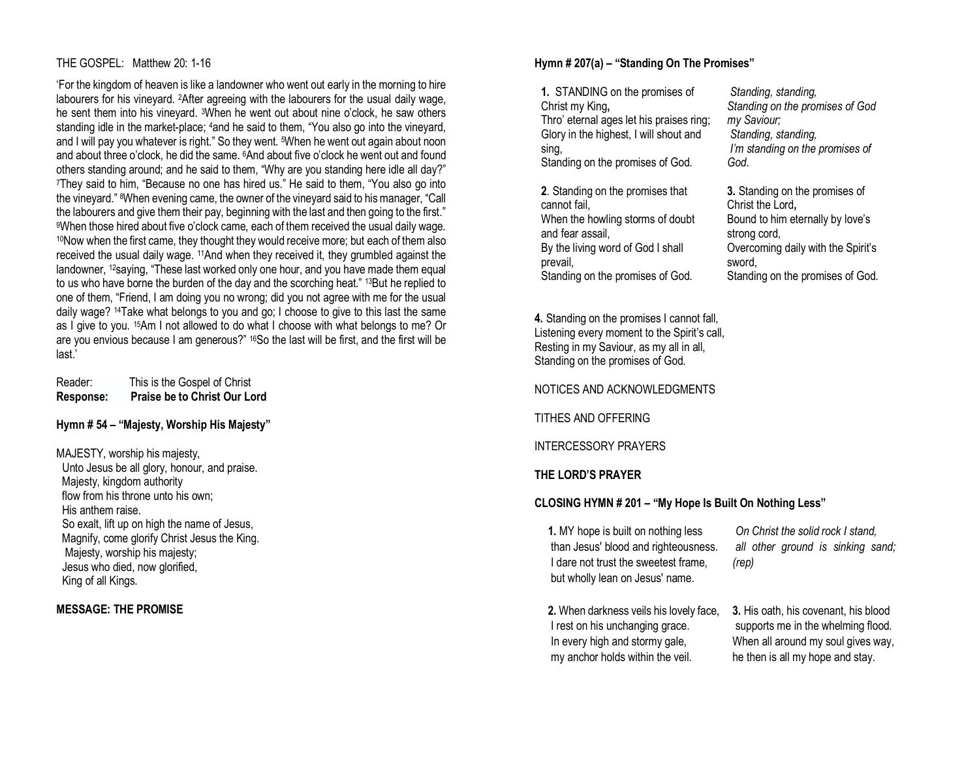## THE GOSPEL: Matthew 20: 1-16

'For the kingdom of heaven is like a landowner who went out early in the morning to hire labourers for his vineyard. 2After agreeing with the labourers for the usual daily wage, he sent them into his vineyard. 3When he went out about nine o'clock, he saw others standing idle in the market-place; 4and he said to them, "You also go into the vineyard, and I will pay you whatever is right." So they went. <sup>5</sup>When he went out again about noon and about three o'clock, he did the same. 6And about five o'clock he went out and found others standing around; and he said to them, "Why are you standing here idle all day?" 7They said to him, "Because no one has hired us." He said to them, "You also go into the vineyard." 8When evening came, the owner of the vineyard said to his manager, "Call the labourers and give them their pay, beginning with the last and then going to the first." 9When those hired about five o'clock came, each of them received the usual daily wage. 10Now when the first came, they thought they would receive more; but each of them also received the usual daily wage. 11And when they received it, they grumbled against the landowner, 12saying, "These last worked only one hour, and you have made them equal to us who have borne the burden of the day and the scorching heat." 13But he replied to one of them, "Friend, I am doing you no wrong; did you not agree with me for the usual daily wage? 14Take what belongs to you and go; I choose to give to this last the same as I give to you. 15Am I not allowed to do what I choose with what belongs to me? Or are you envious because I am generous?" 16So the last will be first, and the first will be last.'

| Reader:   | This is the Gospel of Christ        |
|-----------|-------------------------------------|
| Response: | <b>Praise be to Christ Our Lord</b> |

## **Hymn # 54 – "Majesty, Worship His Majesty"**

| MAJESTY, worship his majesty,                |
|----------------------------------------------|
| Unto Jesus be all glory, honour, and praise. |
| Majesty, kingdom authority                   |
| flow from his throne unto his own;           |
| His anthem raise.                            |
| So exalt, lift up on high the name of Jesus, |
| Magnify, come glorify Christ Jesus the King. |
| Majesty, worship his majesty;                |
| Jesus who died, now glorified,               |
| King of all Kings.                           |

## **MESSAGE: THE PROMISE**

## **Hymn # 207(a) – "Standing On The Promises"**

**1.** STANDING on the promises of Christ my King**,** Thro' eternal ages let his praises ring; Glory in the highest, I will shout and sing, Standing on the promises of God.

**2**. Standing on the promises that cannot fail, When the howling storms of doubt and fear assail, By the living word of God I shall prevail, Standing on the promises of God.

*Standing, standing, Standing on the promises of God my Saviour; Standing, standing, I'm standing on the promises of God*.

**3.** Standing on the promises of Christ the Lord**,** Bound to him eternally by love's strong cord, Overcoming daily with the Spirit's sword, Standing on the promises of God.

**4.** Standing on the promises I cannot fall, Listening every moment to the Spirit's call, Resting in my Saviour, as my all in all, Standing on the promises of God.

## NOTICES AND ACKNOWLEDGMENTS

TITHES AND OFFERING

INTERCESSORY PRAYERS

## **THE LORD'S PRAYER**

## **CLOSING HYMN # 201 – "My Hope Is Built On Nothing Less"**

**1.** MY hope is built on nothing less than Jesus' blood and righteousness. I dare not trust the sweetest frame, but wholly lean on Jesus' name.

**2.** When darkness veils his lovely face, I rest on his unchanging grace. In every high and stormy gale, my anchor holds within the veil.

*On Christ the solid rock I stand, all other ground is sinking sand; (rep)*

**3.** His oath, his covenant, his blood supports me in the whelming flood. When all around my soul gives way, he then is all my hope and stay.